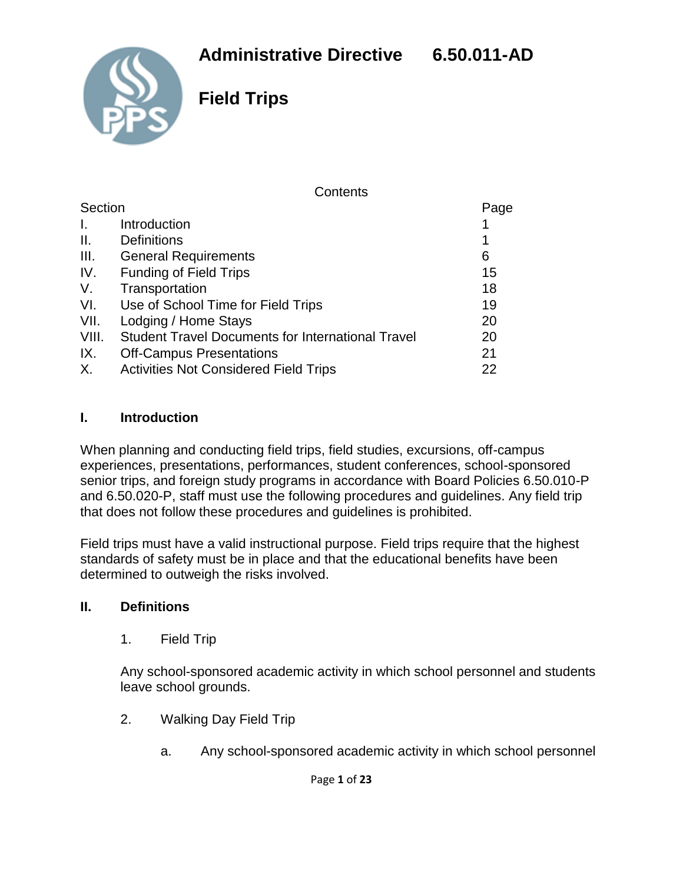

**Field Trips**

**Contents** 

| Section |                                                          | Page |
|---------|----------------------------------------------------------|------|
| I.      | Introduction                                             |      |
| Ш.      | <b>Definitions</b>                                       | 1    |
| III.    | <b>General Requirements</b>                              | 6    |
| IV.     | <b>Funding of Field Trips</b>                            | 15   |
| V.      | Transportation                                           | 18   |
| VI.     | Use of School Time for Field Trips                       | 19   |
| VII.    | Lodging / Home Stays                                     | 20   |
| VIII.   | <b>Student Travel Documents for International Travel</b> | 20   |
| IX.     | <b>Off-Campus Presentations</b>                          | 21   |
| Χ.      | <b>Activities Not Considered Field Trips</b>             | 22   |

#### **I. Introduction**

When planning and conducting field trips, field studies, excursions, off-campus experiences, presentations, performances, student conferences, school-sponsored senior trips, and foreign study programs in accordance with Board Policies 6.50.010-P and 6.50.020-P, staff must use the following procedures and guidelines. Any field trip that does not follow these procedures and guidelines is prohibited.

Field trips must have a valid instructional purpose. Field trips require that the highest standards of safety must be in place and that the educational benefits have been determined to outweigh the risks involved.

#### **II. Definitions**

1. Field Trip

Any school-sponsored academic activity in which school personnel and students leave school grounds.

- 2. Walking Day Field Trip
	- a. Any school-sponsored academic activity in which school personnel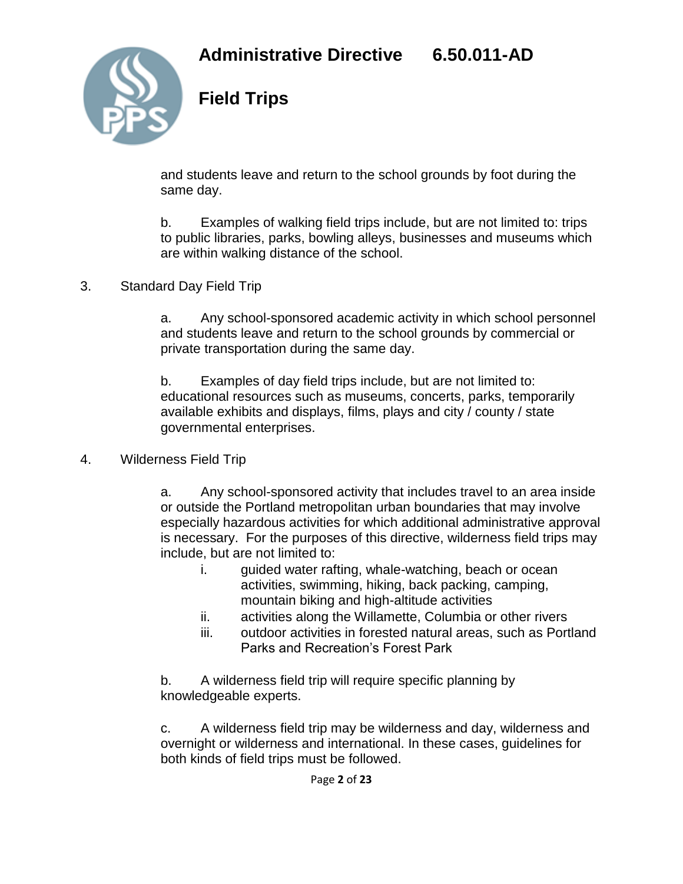

**Field Trips**

and students leave and return to the school grounds by foot during the same day.

b. Examples of walking field trips include, but are not limited to: trips to public libraries, parks, bowling alleys, businesses and museums which are within walking distance of the school.

3. Standard Day Field Trip

a. Any school-sponsored academic activity in which school personnel and students leave and return to the school grounds by commercial or private transportation during the same day.

b. Examples of day field trips include, but are not limited to: educational resources such as museums, concerts, parks, temporarily available exhibits and displays, films, plays and city / county / state governmental enterprises.

4. Wilderness Field Trip

a. Any school-sponsored activity that includes travel to an area inside or outside the Portland metropolitan urban boundaries that may involve especially hazardous activities for which additional administrative approval is necessary. For the purposes of this directive, wilderness field trips may include, but are not limited to:

- i. guided water rafting, whale-watching, beach or ocean activities, swimming, hiking, back packing, camping, mountain biking and high-altitude activities
- ii. activities along the Willamette, Columbia or other rivers
- iii. outdoor activities in forested natural areas, such as Portland Parks and Recreation's Forest Park

b. A wilderness field trip will require specific planning by knowledgeable experts.

c. A wilderness field trip may be wilderness and day, wilderness and overnight or wilderness and international. In these cases, guidelines for both kinds of field trips must be followed.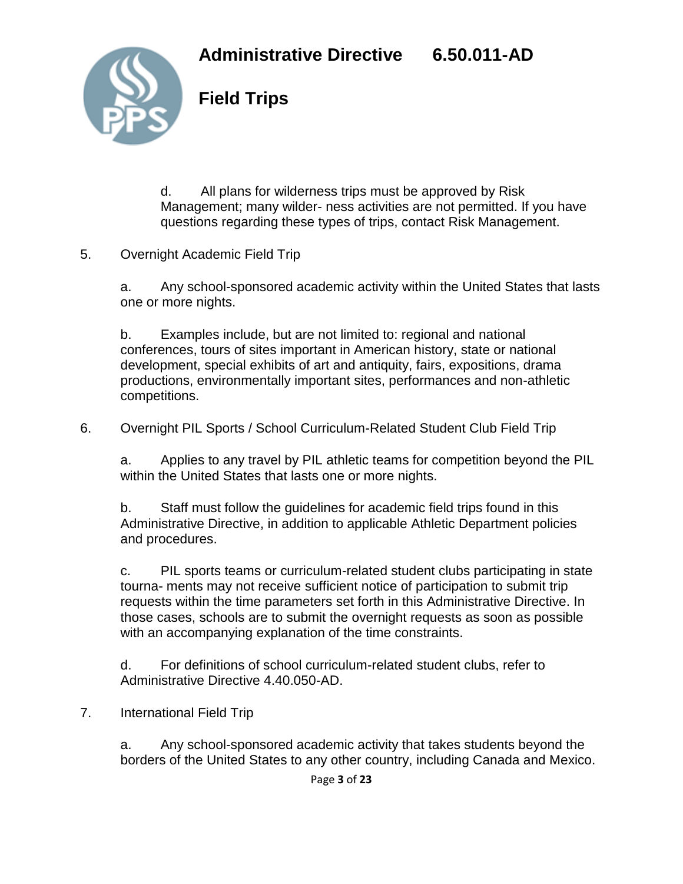

**Field Trips**

d. All plans for wilderness trips must be approved by Risk Management; many wilder- ness activities are not permitted. If you have questions regarding these types of trips, contact Risk Management.

5. Overnight Academic Field Trip

a. Any school-sponsored academic activity within the United States that lasts one or more nights.

b. Examples include, but are not limited to: regional and national conferences, tours of sites important in American history, state or national development, special exhibits of art and antiquity, fairs, expositions, drama productions, environmentally important sites, performances and non-athletic competitions.

6. Overnight PIL Sports / School Curriculum-Related Student Club Field Trip

a. Applies to any travel by PIL athletic teams for competition beyond the PIL within the United States that lasts one or more nights.

b. Staff must follow the guidelines for academic field trips found in this Administrative Directive, in addition to applicable Athletic Department policies and procedures.

c. PIL sports teams or curriculum-related student clubs participating in state tourna- ments may not receive sufficient notice of participation to submit trip requests within the time parameters set forth in this Administrative Directive. In those cases, schools are to submit the overnight requests as soon as possible with an accompanying explanation of the time constraints.

d. For definitions of school curriculum-related student clubs, refer to Administrative Directive 4.40.050-AD.

7. International Field Trip

a. Any school-sponsored academic activity that takes students beyond the borders of the United States to any other country, including Canada and Mexico.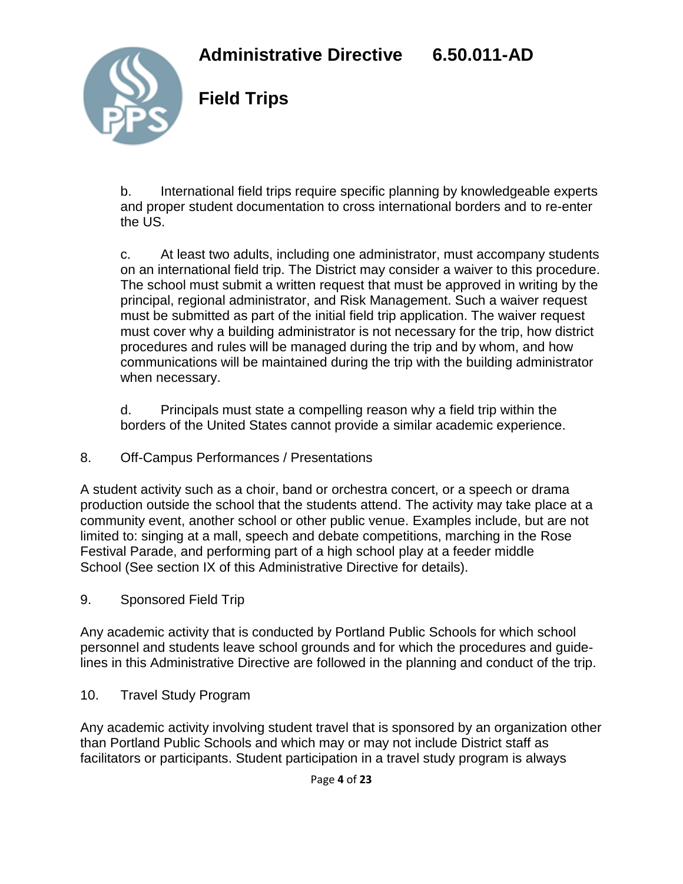

**Field Trips**

b. International field trips require specific planning by knowledgeable experts and proper student documentation to cross international borders and to re-enter the US.

c. At least two adults, including one administrator, must accompany students on an international field trip. The District may consider a waiver to this procedure. The school must submit a written request that must be approved in writing by the principal, regional administrator, and Risk Management. Such a waiver request must be submitted as part of the initial field trip application. The waiver request must cover why a building administrator is not necessary for the trip, how district procedures and rules will be managed during the trip and by whom, and how communications will be maintained during the trip with the building administrator when necessary.

d. Principals must state a compelling reason why a field trip within the borders of the United States cannot provide a similar academic experience.

8. Off-Campus Performances / Presentations

A student activity such as a choir, band or orchestra concert, or a speech or drama production outside the school that the students attend. The activity may take place at a community event, another school or other public venue. Examples include, but are not limited to: singing at a mall, speech and debate competitions, marching in the Rose Festival Parade, and performing part of a high school play at a feeder middle School (See section IX of this Administrative Directive for details).

9. Sponsored Field Trip

Any academic activity that is conducted by Portland Public Schools for which school personnel and students leave school grounds and for which the procedures and guidelines in this Administrative Directive are followed in the planning and conduct of the trip.

10. Travel Study Program

Any academic activity involving student travel that is sponsored by an organization other than Portland Public Schools and which may or may not include District staff as facilitators or participants. Student participation in a travel study program is always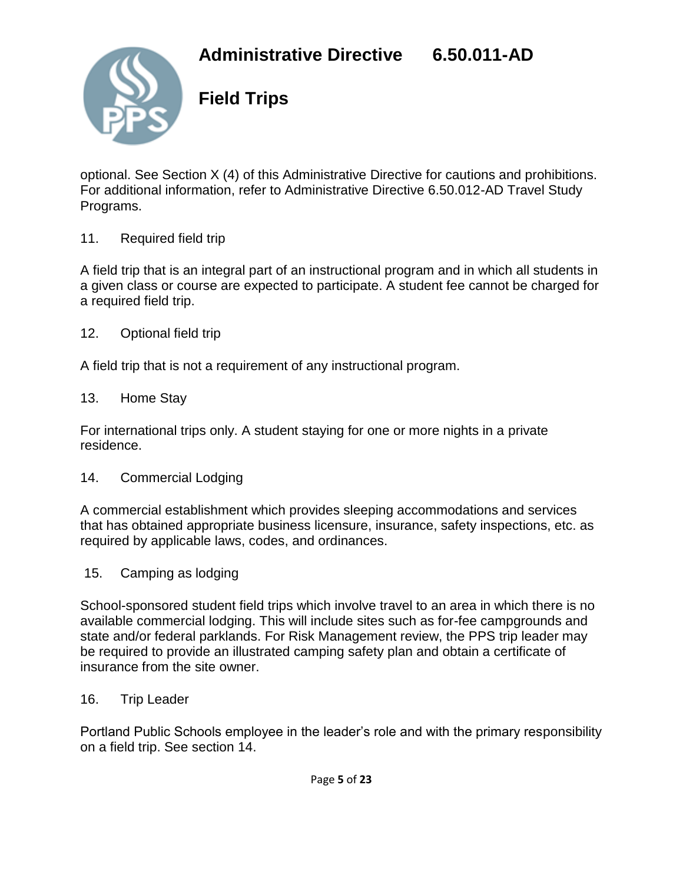

**Field Trips**

optional. See Section X (4) of this Administrative Directive for cautions and prohibitions. For additional information, refer to Administrative Directive 6.50.012-AD Travel Study Programs.

11. Required field trip

A field trip that is an integral part of an instructional program and in which all students in a given class or course are expected to participate. A student fee cannot be charged for a required field trip.

12. Optional field trip

A field trip that is not a requirement of any instructional program.

## 13. Home Stay

For international trips only. A student staying for one or more nights in a private residence.

14. Commercial Lodging

A commercial establishment which provides sleeping accommodations and services that has obtained appropriate business licensure, insurance, safety inspections, etc. as required by applicable laws, codes, and ordinances.

15. Camping as lodging

School-sponsored student field trips which involve travel to an area in which there is no available commercial lodging. This will include sites such as for-fee campgrounds and state and/or federal parklands. For Risk Management review, the PPS trip leader may be required to provide an illustrated camping safety plan and obtain a certificate of insurance from the site owner.

# 16. Trip Leader

Portland Public Schools employee in the leader's role and with the primary responsibility on a field trip. See section 14.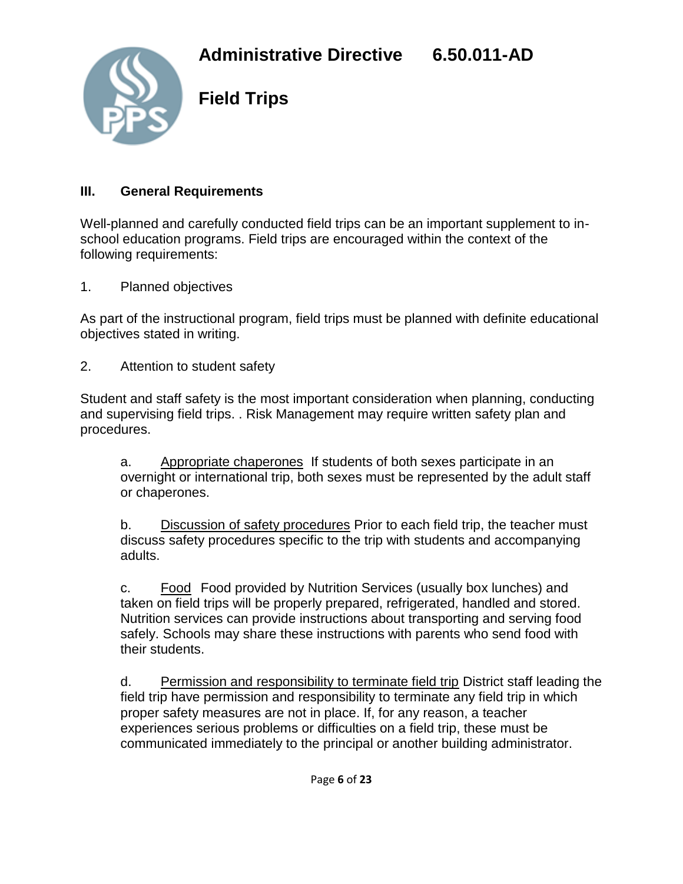

**Field Trips**

### **III. General Requirements**

Well-planned and carefully conducted field trips can be an important supplement to inschool education programs. Field trips are encouraged within the context of the following requirements:

1. Planned objectives

As part of the instructional program, field trips must be planned with definite educational objectives stated in writing.

2. Attention to student safety

Student and staff safety is the most important consideration when planning, conducting and supervising field trips. . Risk Management may require written safety plan and procedures.

a. Appropriate chaperones If students of both sexes participate in an overnight or international trip, both sexes must be represented by the adult staff or chaperones.

b. Discussion of safety procedures Prior to each field trip, the teacher must discuss safety procedures specific to the trip with students and accompanying adults.

c. Food Food provided by Nutrition Services (usually box lunches) and taken on field trips will be properly prepared, refrigerated, handled and stored. Nutrition services can provide instructions about transporting and serving food safely. Schools may share these instructions with parents who send food with their students.

d. Permission and responsibility to terminate field trip District staff leading the field trip have permission and responsibility to terminate any field trip in which proper safety measures are not in place. If, for any reason, a teacher experiences serious problems or difficulties on a field trip, these must be communicated immediately to the principal or another building administrator.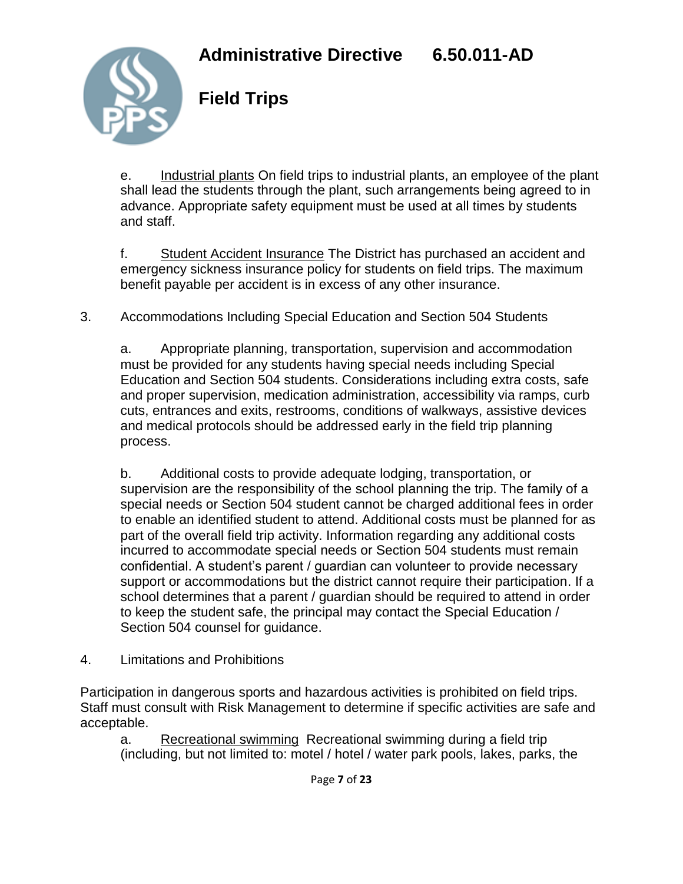

**Field Trips**

e. Industrial plants On field trips to industrial plants, an employee of the plant shall lead the students through the plant, such arrangements being agreed to in advance. Appropriate safety equipment must be used at all times by students and staff.

f. Student Accident Insurance The District has purchased an accident and emergency sickness insurance policy for students on field trips. The maximum benefit payable per accident is in excess of any other insurance.

3. Accommodations Including Special Education and Section 504 Students

a. Appropriate planning, transportation, supervision and accommodation must be provided for any students having special needs including Special Education and Section 504 students. Considerations including extra costs, safe and proper supervision, medication administration, accessibility via ramps, curb cuts, entrances and exits, restrooms, conditions of walkways, assistive devices and medical protocols should be addressed early in the field trip planning process.

b. Additional costs to provide adequate lodging, transportation, or supervision are the responsibility of the school planning the trip. The family of a special needs or Section 504 student cannot be charged additional fees in order to enable an identified student to attend. Additional costs must be planned for as part of the overall field trip activity. Information regarding any additional costs incurred to accommodate special needs or Section 504 students must remain confidential. A student's parent / guardian can volunteer to provide necessary support or accommodations but the district cannot require their participation. If a school determines that a parent / guardian should be required to attend in order to keep the student safe, the principal may contact the Special Education / Section 504 counsel for guidance.

4. Limitations and Prohibitions

Participation in dangerous sports and hazardous activities is prohibited on field trips. Staff must consult with Risk Management to determine if specific activities are safe and acceptable.

a. Recreational swimming Recreational swimming during a field trip (including, but not limited to: motel / hotel / water park pools, lakes, parks, the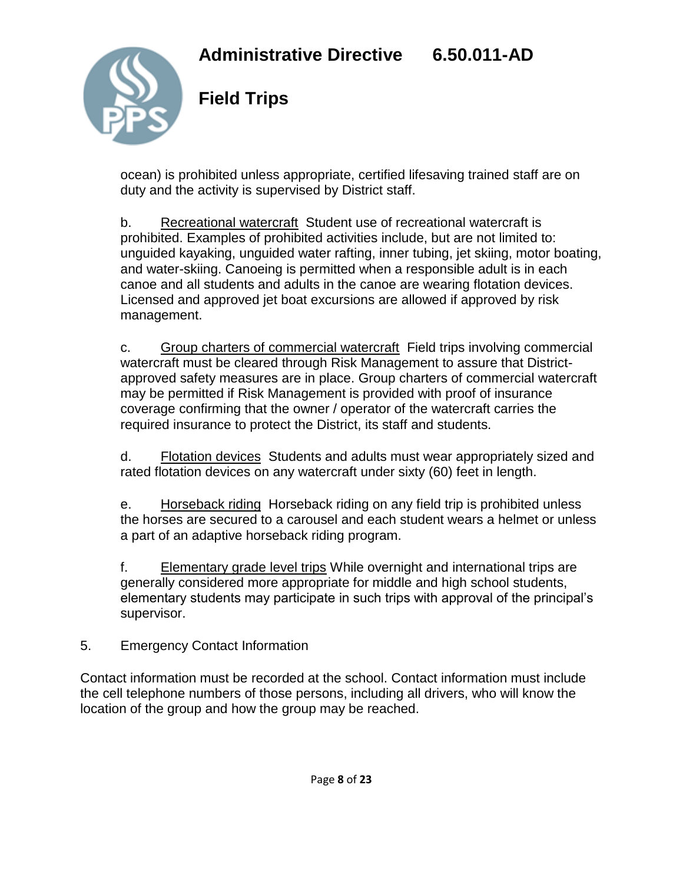

**Field Trips**

ocean) is prohibited unless appropriate, certified lifesaving trained staff are on duty and the activity is supervised by District staff.

b. Recreational watercraft Student use of recreational watercraft is prohibited. Examples of prohibited activities include, but are not limited to: unguided kayaking, unguided water rafting, inner tubing, jet skiing, motor boating, and water-skiing. Canoeing is permitted when a responsible adult is in each canoe and all students and adults in the canoe are wearing flotation devices. Licensed and approved jet boat excursions are allowed if approved by risk management.

c. Group charters of commercial watercraft Field trips involving commercial watercraft must be cleared through Risk Management to assure that Districtapproved safety measures are in place. Group charters of commercial watercraft may be permitted if Risk Management is provided with proof of insurance coverage confirming that the owner / operator of the watercraft carries the required insurance to protect the District, its staff and students.

d. Flotation devices Students and adults must wear appropriately sized and rated flotation devices on any watercraft under sixty (60) feet in length.

e. Horseback riding Horseback riding on any field trip is prohibited unless the horses are secured to a carousel and each student wears a helmet or unless a part of an adaptive horseback riding program.

f. Elementary grade level trips While overnight and international trips are generally considered more appropriate for middle and high school students, elementary students may participate in such trips with approval of the principal's supervisor.

5. Emergency Contact Information

Contact information must be recorded at the school. Contact information must include the cell telephone numbers of those persons, including all drivers, who will know the location of the group and how the group may be reached.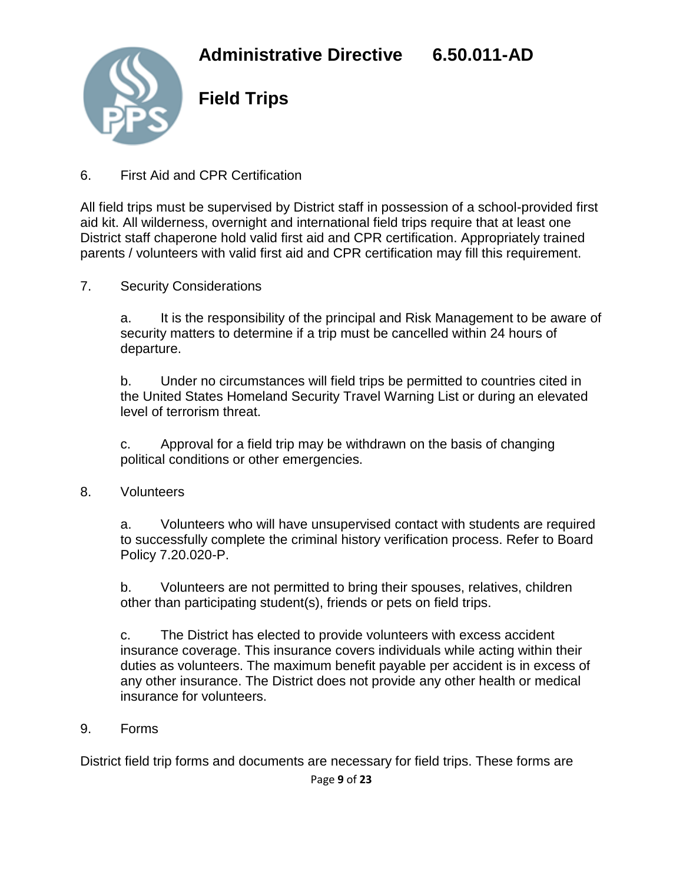

**Field Trips**

6. First Aid and CPR Certification

All field trips must be supervised by District staff in possession of a school-provided first aid kit. All wilderness, overnight and international field trips require that at least one District staff chaperone hold valid first aid and CPR certification. Appropriately trained parents / volunteers with valid first aid and CPR certification may fill this requirement.

7. Security Considerations

a. It is the responsibility of the principal and Risk Management to be aware of security matters to determine if a trip must be cancelled within 24 hours of departure.

b. Under no circumstances will field trips be permitted to countries cited in the United States Homeland Security Travel Warning List or during an elevated level of terrorism threat.

c. Approval for a field trip may be withdrawn on the basis of changing political conditions or other emergencies.

8. Volunteers

a. Volunteers who will have unsupervised contact with students are required to successfully complete the criminal history verification process. Refer to Board Policy 7.20.020-P.

b. Volunteers are not permitted to bring their spouses, relatives, children other than participating student(s), friends or pets on field trips.

c. The District has elected to provide volunteers with excess accident insurance coverage. This insurance covers individuals while acting within their duties as volunteers. The maximum benefit payable per accident is in excess of any other insurance. The District does not provide any other health or medical insurance for volunteers.

9. Forms

District field trip forms and documents are necessary for field trips. These forms are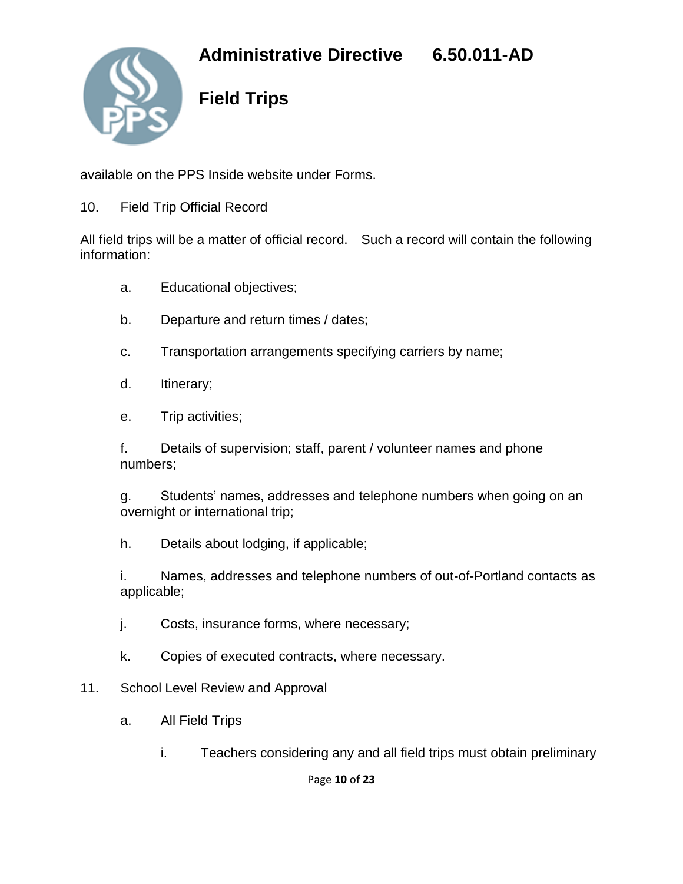

# **Field Trips**

available on the PPS Inside website under Forms.

10. Field Trip Official Record

All field trips will be a matter of official record. Such a record will contain the following information:

- a. Educational objectives;
- b. Departure and return times / dates;
- c. Transportation arrangements specifying carriers by name;
- d. Itinerary;
- e. Trip activities;

f. Details of supervision; staff, parent / volunteer names and phone numbers;

g. Students' names, addresses and telephone numbers when going on an overnight or international trip;

h. Details about lodging, if applicable;

i. Names, addresses and telephone numbers of out-of-Portland contacts as applicable;

- j. Costs, insurance forms, where necessary;
- k. Copies of executed contracts, where necessary.
- 11. School Level Review and Approval
	- a. All Field Trips
		- i. Teachers considering any and all field trips must obtain preliminary

Page **10** of **23**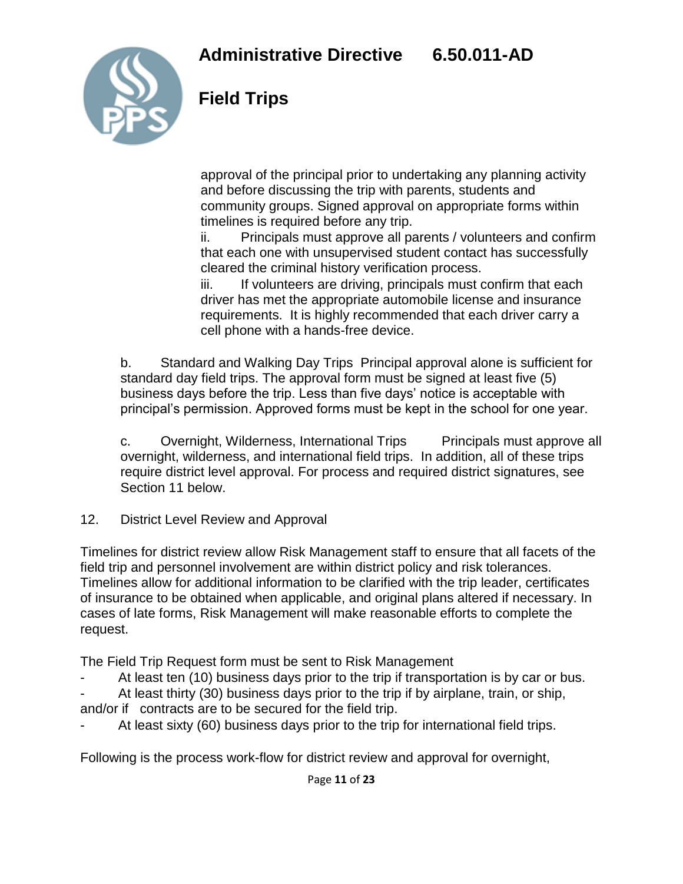

# **Field Trips**

approval of the principal prior to undertaking any planning activity and before discussing the trip with parents, students and community groups. Signed approval on appropriate forms within timelines is required before any trip.

ii. Principals must approve all parents / volunteers and confirm that each one with unsupervised student contact has successfully cleared the criminal history verification process.

iii. If volunteers are driving, principals must confirm that each driver has met the appropriate automobile license and insurance requirements. It is highly recommended that each driver carry a cell phone with a hands-free device.

b. Standard and Walking Day Trips Principal approval alone is sufficient for standard day field trips. The approval form must be signed at least five (5) business days before the trip. Less than five days' notice is acceptable with principal's permission. Approved forms must be kept in the school for one year.

c. Overnight, Wilderness, International Trips Principals must approve all overnight, wilderness, and international field trips. In addition, all of these trips require district level approval. For process and required district signatures, see Section 11 below.

12. District Level Review and Approval

Timelines for district review allow Risk Management staff to ensure that all facets of the field trip and personnel involvement are within district policy and risk tolerances. Timelines allow for additional information to be clarified with the trip leader, certificates of insurance to be obtained when applicable, and original plans altered if necessary. In cases of late forms, Risk Management will make reasonable efforts to complete the request.

The Field Trip Request form must be sent to Risk Management

- At least ten (10) business days prior to the trip if transportation is by car or bus.
- At least thirty (30) business days prior to the trip if by airplane, train, or ship, and/or if contracts are to be secured for the field trip.
- At least sixty (60) business days prior to the trip for international field trips.

Following is the process work-flow for district review and approval for overnight,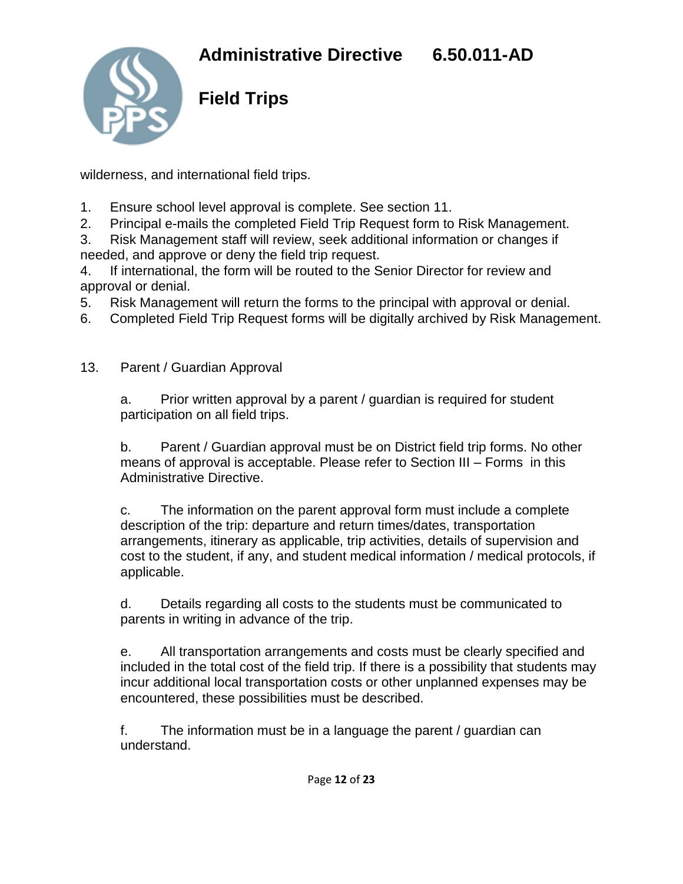

**Field Trips**

wilderness, and international field trips.

- 1. Ensure school level approval is complete. See section 11.
- 2. Principal e-mails the completed Field Trip Request form to Risk Management.
- 3. Risk Management staff will review, seek additional information or changes if needed, and approve or deny the field trip request.
- 4. If international, the form will be routed to the Senior Director for review and approval or denial.
- 5. Risk Management will return the forms to the principal with approval or denial.
- 6. Completed Field Trip Request forms will be digitally archived by Risk Management.
- 13. Parent / Guardian Approval

a. Prior written approval by a parent / guardian is required for student participation on all field trips.

b. Parent / Guardian approval must be on District field trip forms. No other means of approval is acceptable. Please refer to Section III – Forms in this Administrative Directive.

c. The information on the parent approval form must include a complete description of the trip: departure and return times/dates, transportation arrangements, itinerary as applicable, trip activities, details of supervision and cost to the student, if any, and student medical information / medical protocols, if applicable.

d. Details regarding all costs to the students must be communicated to parents in writing in advance of the trip.

e. All transportation arrangements and costs must be clearly specified and included in the total cost of the field trip. If there is a possibility that students may incur additional local transportation costs or other unplanned expenses may be encountered, these possibilities must be described.

f. The information must be in a language the parent / guardian can understand.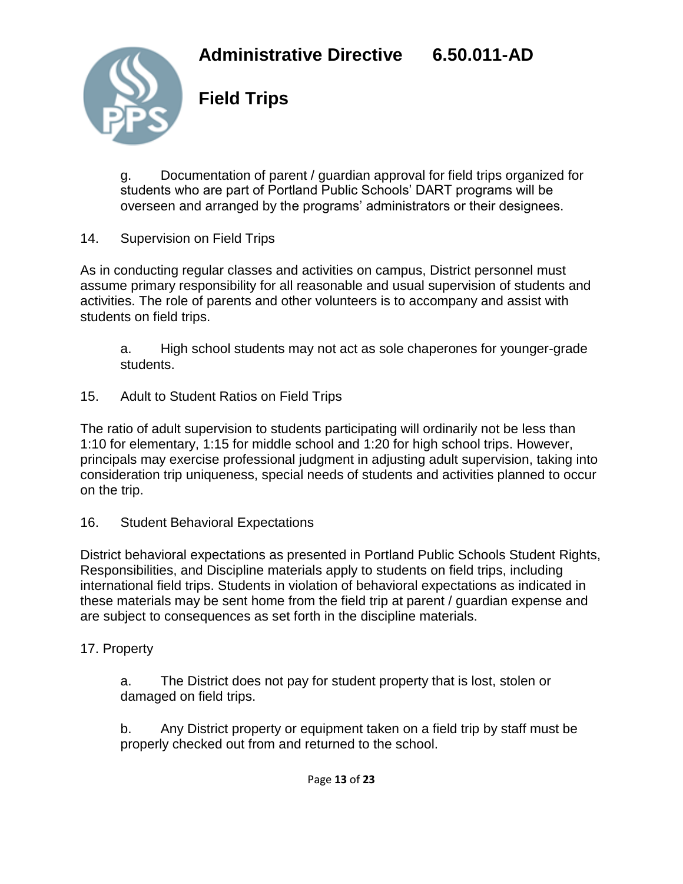

**Field Trips**

g. Documentation of parent / guardian approval for field trips organized for students who are part of Portland Public Schools' DART programs will be overseen and arranged by the programs' administrators or their designees.

14. Supervision on Field Trips

As in conducting regular classes and activities on campus, District personnel must assume primary responsibility for all reasonable and usual supervision of students and activities. The role of parents and other volunteers is to accompany and assist with students on field trips.

a. High school students may not act as sole chaperones for younger-grade students.

15. Adult to Student Ratios on Field Trips

The ratio of adult supervision to students participating will ordinarily not be less than 1:10 for elementary, 1:15 for middle school and 1:20 for high school trips. However, principals may exercise professional judgment in adjusting adult supervision, taking into consideration trip uniqueness, special needs of students and activities planned to occur on the trip.

### 16. Student Behavioral Expectations

District behavioral expectations as presented in Portland Public Schools Student Rights, Responsibilities, and Discipline materials apply to students on field trips, including international field trips. Students in violation of behavioral expectations as indicated in these materials may be sent home from the field trip at parent / guardian expense and are subject to consequences as set forth in the discipline materials.

### 17. Property

a. The District does not pay for student property that is lost, stolen or damaged on field trips.

b. Any District property or equipment taken on a field trip by staff must be properly checked out from and returned to the school.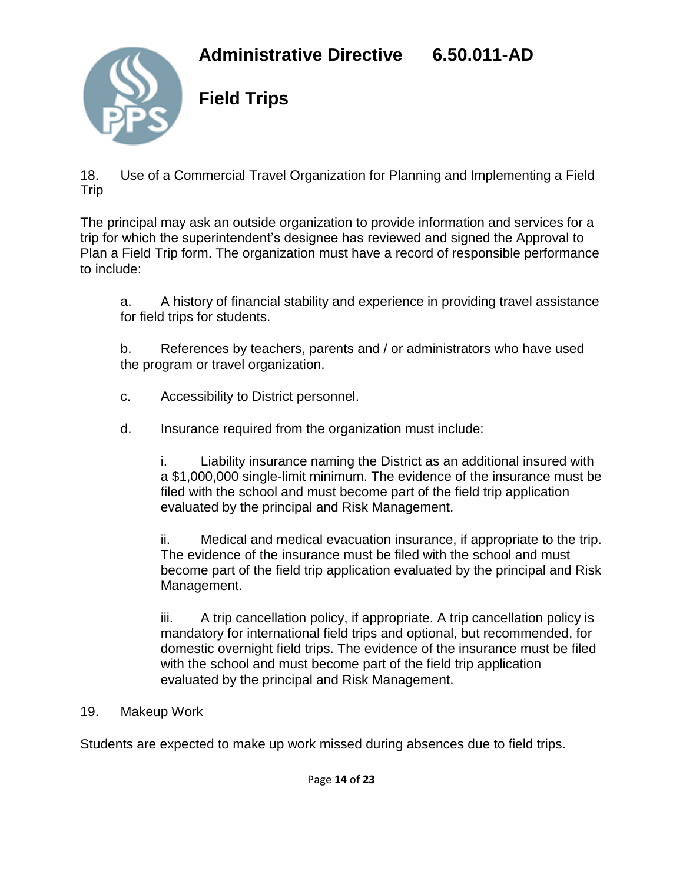

**Field Trips**

18. Use of a Commercial Travel Organization for Planning and Implementing a Field **Trip** 

The principal may ask an outside organization to provide information and services for a trip for which the superintendent's designee has reviewed and signed the Approval to Plan a Field Trip form. The organization must have a record of responsible performance to include:

a. A history of financial stability and experience in providing travel assistance for field trips for students.

b. References by teachers, parents and / or administrators who have used the program or travel organization.

- c. Accessibility to District personnel.
- d. Insurance required from the organization must include:

i. Liability insurance naming the District as an additional insured with a \$1,000,000 single-limit minimum. The evidence of the insurance must be filed with the school and must become part of the field trip application evaluated by the principal and Risk Management.

ii. Medical and medical evacuation insurance, if appropriate to the trip. The evidence of the insurance must be filed with the school and must become part of the field trip application evaluated by the principal and Risk Management.

iii. A trip cancellation policy, if appropriate. A trip cancellation policy is mandatory for international field trips and optional, but recommended, for domestic overnight field trips. The evidence of the insurance must be filed with the school and must become part of the field trip application evaluated by the principal and Risk Management.

### 19. Makeup Work

Students are expected to make up work missed during absences due to field trips.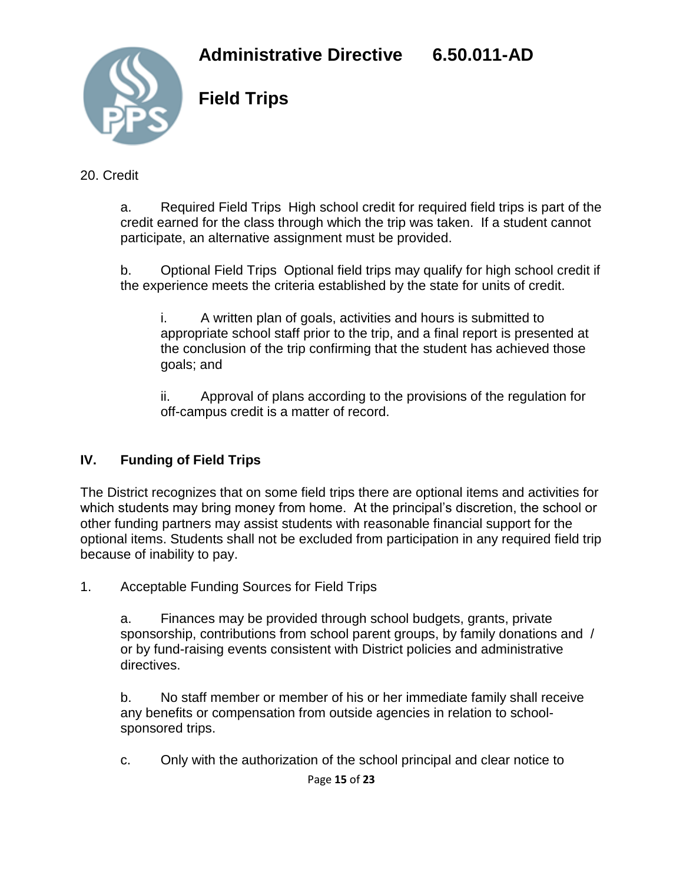

**Field Trips**

20. Credit

a. Required Field Trips High school credit for required field trips is part of the credit earned for the class through which the trip was taken. If a student cannot participate, an alternative assignment must be provided.

b. Optional Field Trips Optional field trips may qualify for high school credit if the experience meets the criteria established by the state for units of credit.

i. A written plan of goals, activities and hours is submitted to appropriate school staff prior to the trip, and a final report is presented at the conclusion of the trip confirming that the student has achieved those goals; and

ii. Approval of plans according to the provisions of the regulation for off-campus credit is a matter of record.

# **IV. Funding of Field Trips**

The District recognizes that on some field trips there are optional items and activities for which students may bring money from home. At the principal's discretion, the school or other funding partners may assist students with reasonable financial support for the optional items. Students shall not be excluded from participation in any required field trip because of inability to pay.

1. Acceptable Funding Sources for Field Trips

a. Finances may be provided through school budgets, grants, private sponsorship, contributions from school parent groups, by family donations and / or by fund-raising events consistent with District policies and administrative directives.

b. No staff member or member of his or her immediate family shall receive any benefits or compensation from outside agencies in relation to schoolsponsored trips.

c. Only with the authorization of the school principal and clear notice to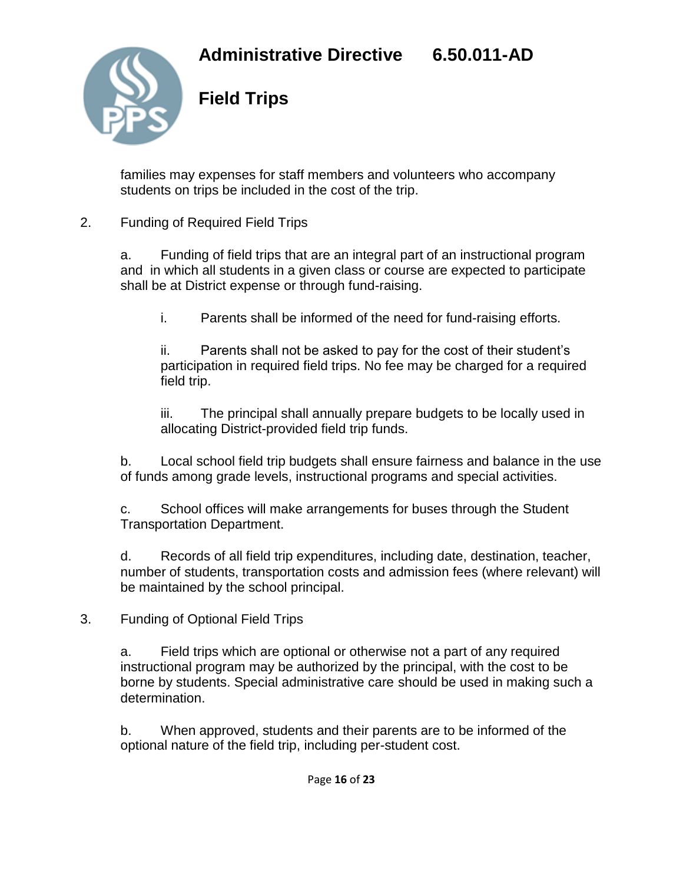

**Field Trips**

families may expenses for staff members and volunteers who accompany students on trips be included in the cost of the trip.

2. Funding of Required Field Trips

a. Funding of field trips that are an integral part of an instructional program and in which all students in a given class or course are expected to participate shall be at District expense or through fund-raising.

i. Parents shall be informed of the need for fund-raising efforts.

ii. Parents shall not be asked to pay for the cost of their student's participation in required field trips. No fee may be charged for a required field trip.

iii. The principal shall annually prepare budgets to be locally used in allocating District-provided field trip funds.

b. Local school field trip budgets shall ensure fairness and balance in the use of funds among grade levels, instructional programs and special activities.

c. School offices will make arrangements for buses through the Student Transportation Department.

d. Records of all field trip expenditures, including date, destination, teacher, number of students, transportation costs and admission fees (where relevant) will be maintained by the school principal.

3. Funding of Optional Field Trips

a. Field trips which are optional or otherwise not a part of any required instructional program may be authorized by the principal, with the cost to be borne by students. Special administrative care should be used in making such a determination.

b. When approved, students and their parents are to be informed of the optional nature of the field trip, including per-student cost.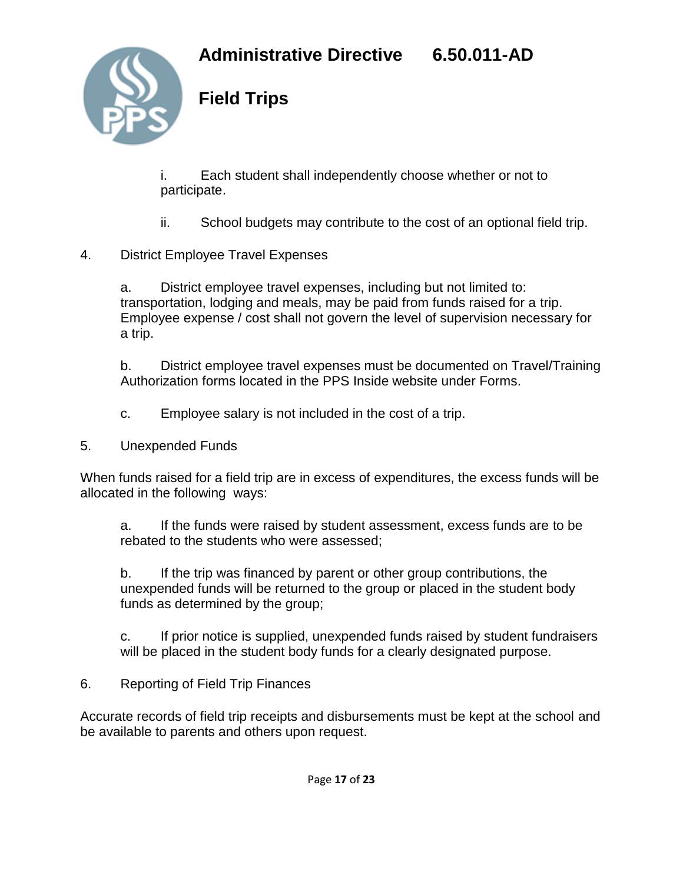

**Field Trips**

i. Each student shall independently choose whether or not to participate.

ii. School budgets may contribute to the cost of an optional field trip.

# 4. District Employee Travel Expenses

a. District employee travel expenses, including but not limited to: transportation, lodging and meals, may be paid from funds raised for a trip. Employee expense / cost shall not govern the level of supervision necessary for a trip.

b. District employee travel expenses must be documented on Travel/Training Authorization forms located in the PPS Inside website under Forms.

- c. Employee salary is not included in the cost of a trip.
- 5. Unexpended Funds

When funds raised for a field trip are in excess of expenditures, the excess funds will be allocated in the following ways:

a. If the funds were raised by student assessment, excess funds are to be rebated to the students who were assessed;

b. If the trip was financed by parent or other group contributions, the unexpended funds will be returned to the group or placed in the student body funds as determined by the group;

c. If prior notice is supplied, unexpended funds raised by student fundraisers will be placed in the student body funds for a clearly designated purpose.

6. Reporting of Field Trip Finances

Accurate records of field trip receipts and disbursements must be kept at the school and be available to parents and others upon request.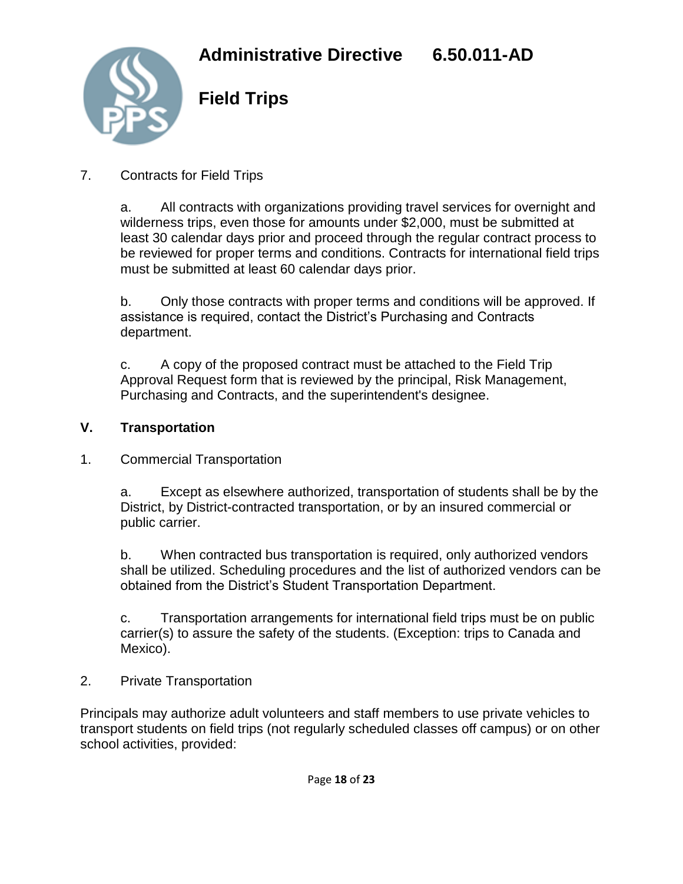

**Field Trips**

### 7. Contracts for Field Trips

a. All contracts with organizations providing travel services for overnight and wilderness trips, even those for amounts under \$2,000, must be submitted at least 30 calendar days prior and proceed through the regular contract process to be reviewed for proper terms and conditions. Contracts for international field trips must be submitted at least 60 calendar days prior.

b. Only those contracts with proper terms and conditions will be approved. If assistance is required, contact the District's Purchasing and Contracts department.

c. A copy of the proposed contract must be attached to the Field Trip Approval Request form that is reviewed by the principal, Risk Management, Purchasing and Contracts, and the superintendent's designee.

### **V. Transportation**

1. Commercial Transportation

a. Except as elsewhere authorized, transportation of students shall be by the District, by District-contracted transportation, or by an insured commercial or public carrier.

b. When contracted bus transportation is required, only authorized vendors shall be utilized. Scheduling procedures and the list of authorized vendors can be obtained from the District's Student Transportation Department.

c. Transportation arrangements for international field trips must be on public carrier(s) to assure the safety of the students. (Exception: trips to Canada and Mexico).

2. Private Transportation

Principals may authorize adult volunteers and staff members to use private vehicles to transport students on field trips (not regularly scheduled classes off campus) or on other school activities, provided: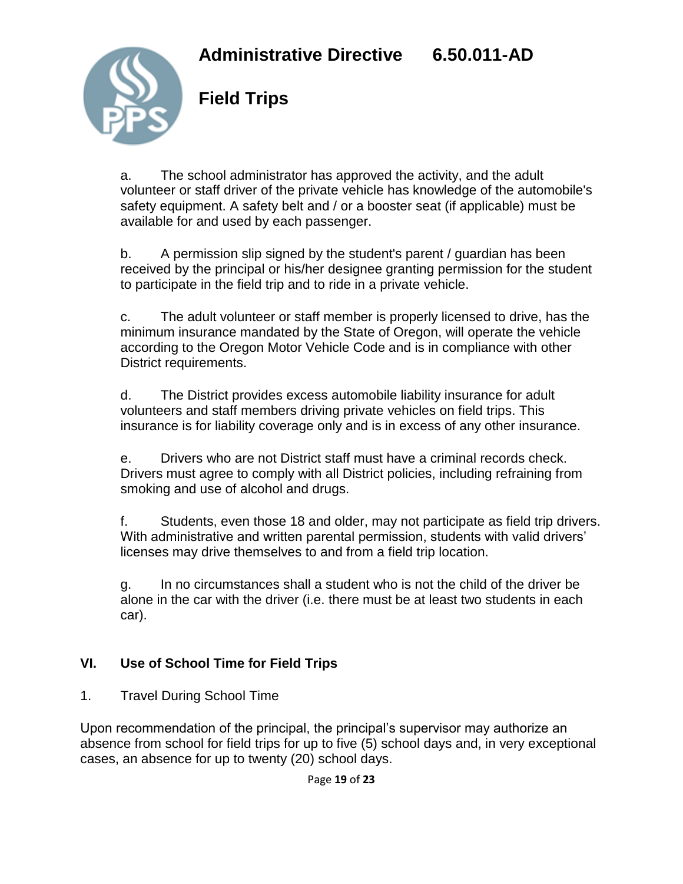

**Field Trips**

a. The school administrator has approved the activity, and the adult volunteer or staff driver of the private vehicle has knowledge of the automobile's safety equipment. A safety belt and / or a booster seat (if applicable) must be available for and used by each passenger.

b. A permission slip signed by the student's parent / guardian has been received by the principal or his/her designee granting permission for the student to participate in the field trip and to ride in a private vehicle.

c. The adult volunteer or staff member is properly licensed to drive, has the minimum insurance mandated by the State of Oregon, will operate the vehicle according to the Oregon Motor Vehicle Code and is in compliance with other District requirements.

d. The District provides excess automobile liability insurance for adult volunteers and staff members driving private vehicles on field trips. This insurance is for liability coverage only and is in excess of any other insurance.

e. Drivers who are not District staff must have a criminal records check. Drivers must agree to comply with all District policies, including refraining from smoking and use of alcohol and drugs.

f. Students, even those 18 and older, may not participate as field trip drivers. With administrative and written parental permission, students with valid drivers' licenses may drive themselves to and from a field trip location.

g. In no circumstances shall a student who is not the child of the driver be alone in the car with the driver (i.e. there must be at least two students in each car).

### **VI. Use of School Time for Field Trips**

#### 1. Travel During School Time

Upon recommendation of the principal, the principal's supervisor may authorize an absence from school for field trips for up to five (5) school days and, in very exceptional cases, an absence for up to twenty (20) school days.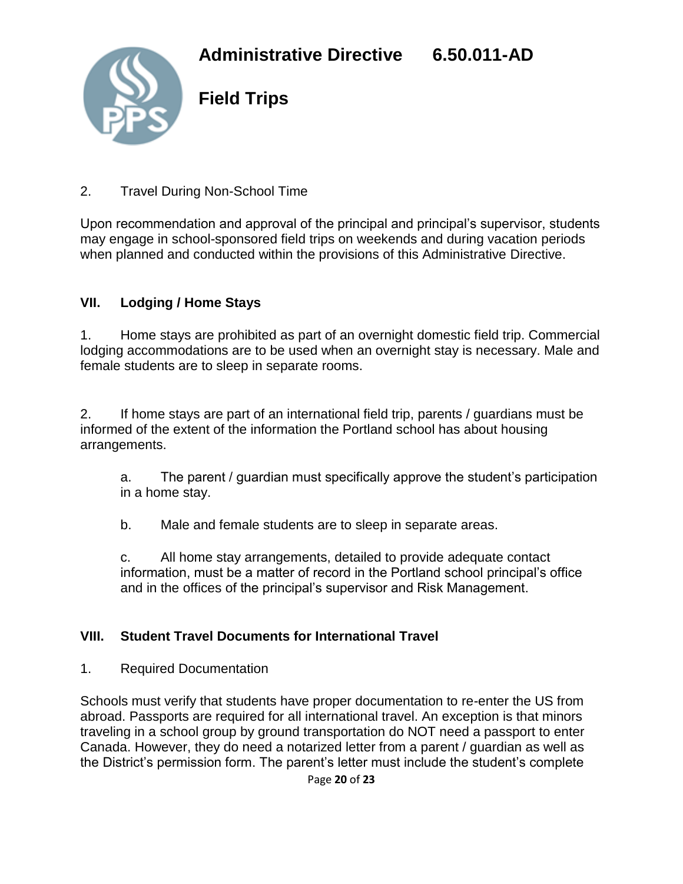

**Field Trips**

2. Travel During Non-School Time

Upon recommendation and approval of the principal and principal's supervisor, students may engage in school-sponsored field trips on weekends and during vacation periods when planned and conducted within the provisions of this Administrative Directive.

### **VII. Lodging / Home Stays**

1. Home stays are prohibited as part of an overnight domestic field trip. Commercial lodging accommodations are to be used when an overnight stay is necessary. Male and female students are to sleep in separate rooms.

2. If home stays are part of an international field trip, parents / guardians must be informed of the extent of the information the Portland school has about housing arrangements.

a. The parent / guardian must specifically approve the student's participation in a home stay.

b. Male and female students are to sleep in separate areas.

c. All home stay arrangements, detailed to provide adequate contact information, must be a matter of record in the Portland school principal's office and in the offices of the principal's supervisor and Risk Management.

### **VIII. Student Travel Documents for International Travel**

1. Required Documentation

Schools must verify that students have proper documentation to re-enter the US from abroad. Passports are required for all international travel. An exception is that minors traveling in a school group by ground transportation do NOT need a passport to enter Canada. However, they do need a notarized letter from a parent / guardian as well as the District's permission form. The parent's letter must include the student's complete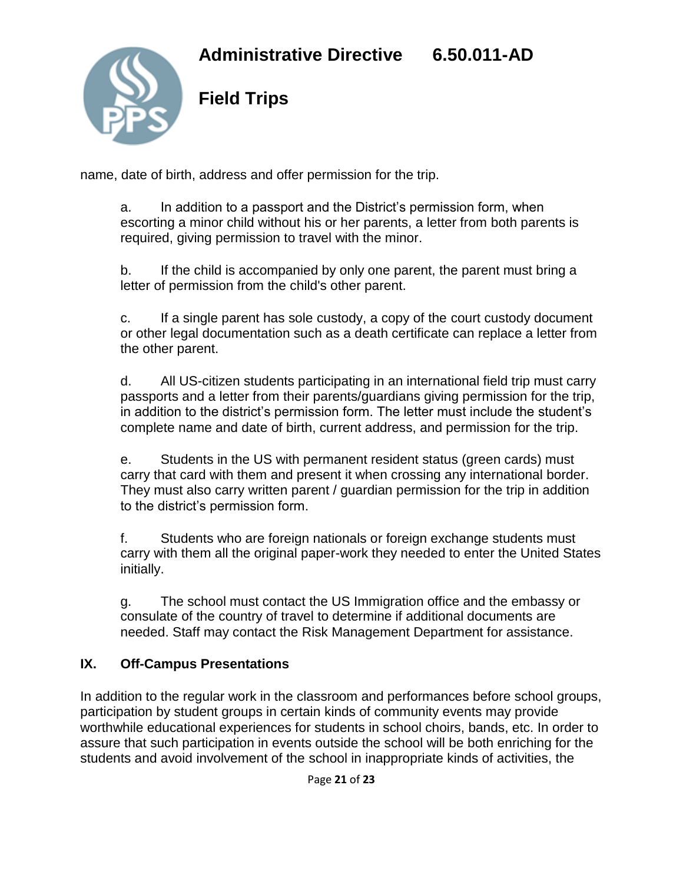

**Field Trips**

name, date of birth, address and offer permission for the trip.

a. In addition to a passport and the District's permission form, when escorting a minor child without his or her parents, a letter from both parents is required, giving permission to travel with the minor.

b. If the child is accompanied by only one parent, the parent must bring a letter of permission from the child's other parent.

c. If a single parent has sole custody, a copy of the court custody document or other legal documentation such as a death certificate can replace a letter from the other parent.

d. All US-citizen students participating in an international field trip must carry passports and a letter from their parents/guardians giving permission for the trip, in addition to the district's permission form. The letter must include the student's complete name and date of birth, current address, and permission for the trip.

e. Students in the US with permanent resident status (green cards) must carry that card with them and present it when crossing any international border. They must also carry written parent / guardian permission for the trip in addition to the district's permission form.

f. Students who are foreign nationals or foreign exchange students must carry with them all the original paper-work they needed to enter the United States initially.

g. The school must contact the US Immigration office and the embassy or consulate of the country of travel to determine if additional documents are needed. Staff may contact the Risk Management Department for assistance.

#### **IX. Off-Campus Presentations**

In addition to the regular work in the classroom and performances before school groups, participation by student groups in certain kinds of community events may provide worthwhile educational experiences for students in school choirs, bands, etc. In order to assure that such participation in events outside the school will be both enriching for the students and avoid involvement of the school in inappropriate kinds of activities, the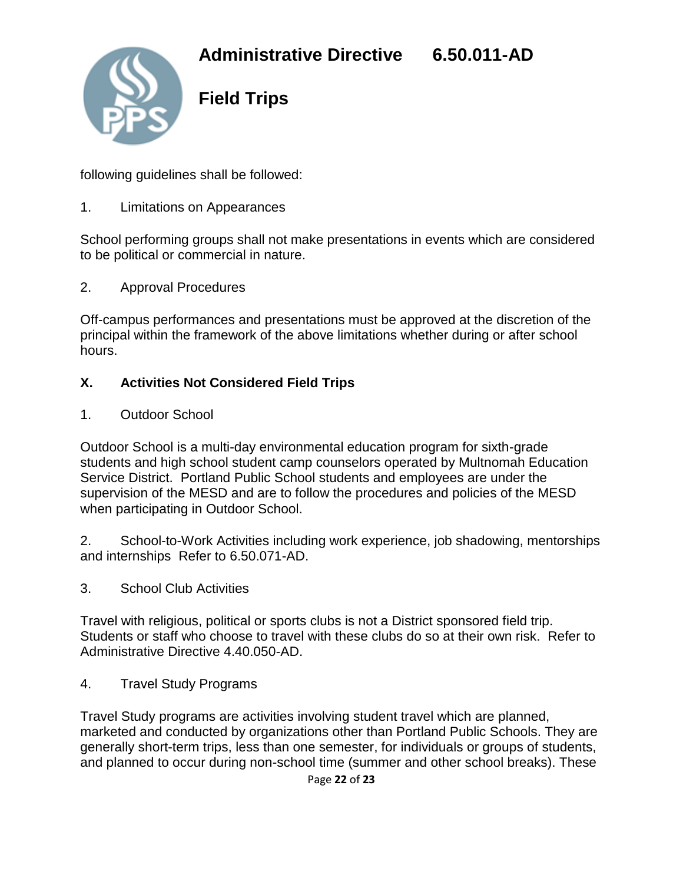

**Field Trips**

following guidelines shall be followed:

1. Limitations on Appearances

School performing groups shall not make presentations in events which are considered to be political or commercial in nature.

2. Approval Procedures

Off-campus performances and presentations must be approved at the discretion of the principal within the framework of the above limitations whether during or after school hours.

## **X. Activities Not Considered Field Trips**

1. Outdoor School

Outdoor School is a multi-day environmental education program for sixth-grade students and high school student camp counselors operated by Multnomah Education Service District. Portland Public School students and employees are under the supervision of the MESD and are to follow the procedures and policies of the MESD when participating in Outdoor School.

2. School-to-Work Activities including work experience, job shadowing, mentorships and internships Refer to 6.50.071-AD.

3. School Club Activities

Travel with religious, political or sports clubs is not a District sponsored field trip. Students or staff who choose to travel with these clubs do so at their own risk. Refer to Administrative Directive 4.40.050-AD.

4. Travel Study Programs

Travel Study programs are activities involving student travel which are planned, marketed and conducted by organizations other than Portland Public Schools. They are generally short-term trips, less than one semester, for individuals or groups of students, and planned to occur during non-school time (summer and other school breaks). These